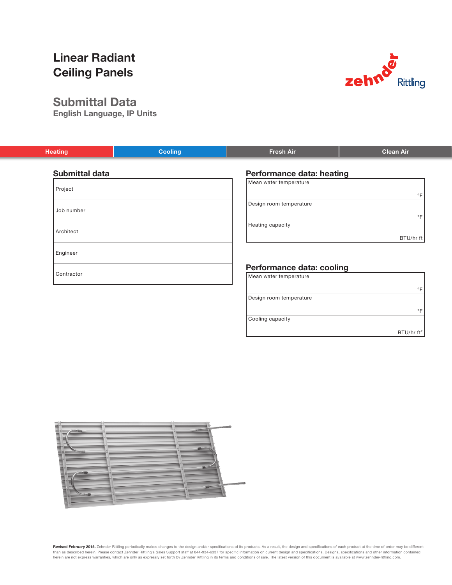# Linear Radiant Ceiling Panels



English Language, IP Units





**Revised February 2015.** Zehnder Rittling periodically makes changes to the design and/or specifications of its products. As a result, the design and specifications of each product at the time of order may be different<br>tha

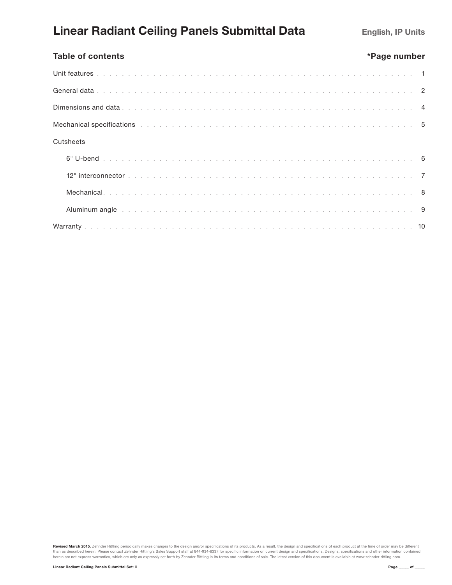# Table of contents  $*P$ age number Unit features ................................................... 1 General data ................................................... 2 Dimensions and data ............................................... 4 Mechanical specifications ............................................ 5 **Cutsheets** 6" U-bend .................................................. 6 12" interconnector .............................................. 7 Mechanical .................................................. 8 Aluminum angle ............................................... 9 Warranty ..................................................... 10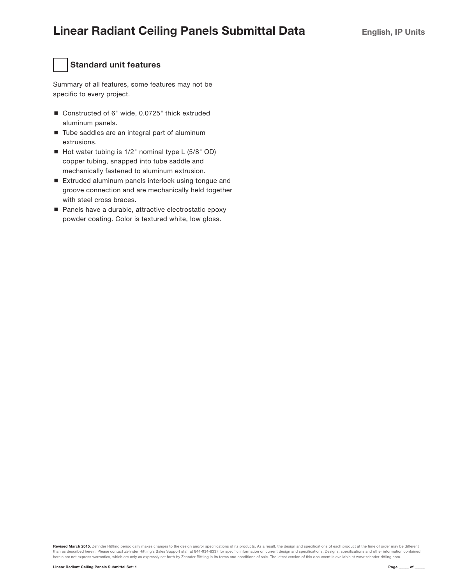# Standard unit features

Summary of all features, some features may not be specific to every project.

- Constructed of 6" wide, 0.0725" thick extruded aluminum panels.
- Tube saddles are an integral part of aluminum extrusions.
- Hot water tubing is  $1/2$ " nominal type L  $(5/8$ " OD) copper tubing, snapped into tube saddle and mechanically fastened to aluminum extrusion.
- Extruded aluminum panels interlock using tongue and groove connection and are mechanically held together with steel cross braces.
- Panels have a durable, attractive electrostatic epoxy powder coating. Color is textured white, low gloss.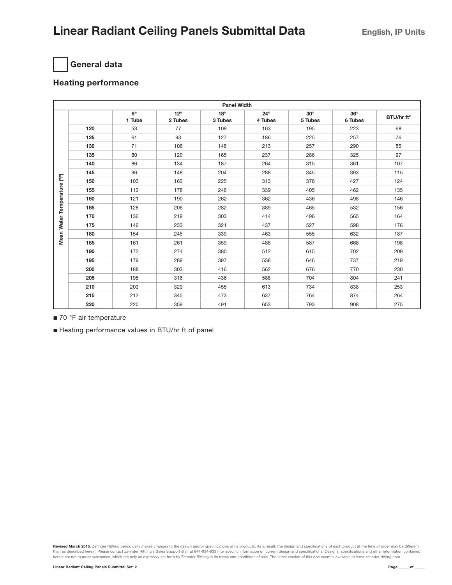# General data

### Heating performance

|                        | <b>Panel Width</b> |              |                |                |                |                             |                |                        |  |  |
|------------------------|--------------------|--------------|----------------|----------------|----------------|-----------------------------|----------------|------------------------|--|--|
|                        |                    | 6"<br>1 Tube | 12"<br>2 Tubes | 18"<br>3 Tubes | 24"<br>4 Tubes | 30 <sup>''</sup><br>5 Tubes | 36"<br>6 Tubes | BTU/hr ft <sup>2</sup> |  |  |
|                        | 120                | 53           | 77             | 109            | 163            | 195                         | 223            | 68                     |  |  |
|                        | 125                | 61           | 93             | 127            | 186            | 225                         | 257            | 76                     |  |  |
|                        | 130                | 71           | 106            | 148            | 213            | 257                         | 290            | 85                     |  |  |
|                        | 135                | 80           | 120            | 165            | 237            | 286                         | 325            | 97                     |  |  |
|                        | 140                | 86           | 134            | 187            | 264            | 315                         | 361            | 107                    |  |  |
|                        | 145                | 96           | 148            | 204            | 288            | 345                         | 393            | 115                    |  |  |
| $\overline{F}$         | 150                | 103          | 162            | 225            | 313            | 376                         | 427            | 124                    |  |  |
|                        | 155                | 112          | 178            | 246            | 339            | 405                         | 462            | 135                    |  |  |
| Mean Water Temperature | 160                | 121          | 190            | 262            | 362            | 436                         | 498            | 146                    |  |  |
|                        | 165                | 128          | 206            | 282            | 389            | 465                         | 532            | 156                    |  |  |
|                        | 170                | 136          | 219            | 303            | 414            | 496                         | 565            | 164                    |  |  |
|                        | 175                | 146          | 233            | 321            | 437            | 527                         | 598            | 176                    |  |  |
|                        | 180                | 154          | 245            | 339            | 463            | 555                         | 632            | 187                    |  |  |
|                        | 185                | 161          | 261            | 359            | 488            | 587                         | 668            | 198                    |  |  |
|                        | 190                | 172          | 274            | 380            | 512            | 615                         | 702            | 209                    |  |  |
|                        | 195                | 179          | 289            | 397            | 538            | 646                         | 737            | 219                    |  |  |
|                        | 200                | 188          | 303            | 416            | 562            | 676                         | 770            | 230                    |  |  |
|                        | 205                | 195          | 316            | 436            | 588            | 704                         | 804            | 241                    |  |  |
|                        | 210                | 203          | 329            | 455            | 613            | 734                         | 838            | 253                    |  |  |
|                        | 215                | 212          | 345            | 473            | 637            | 764                         | 874            | 264                    |  |  |
|                        | 220                | 220          | 359            | 491            | 653            | 793                         | 908            | 275                    |  |  |

■ 70 °F air temperature

Heating performance values in BTU/hr ft of panel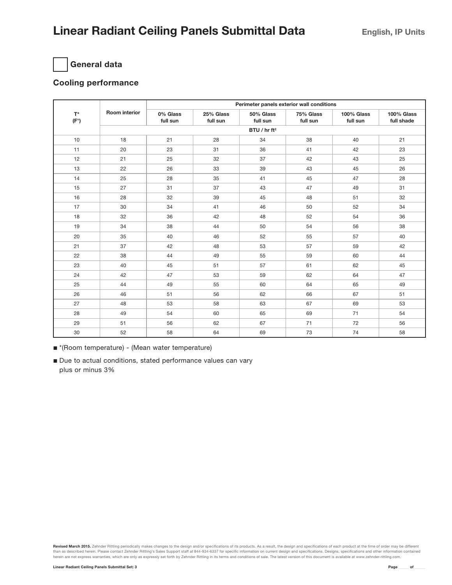# General data

### Cooling performance

|                               | <b>Room interior</b>     | Perimeter panels exterior wall conditions |                       |                       |                       |                        |                          |  |  |
|-------------------------------|--------------------------|-------------------------------------------|-----------------------|-----------------------|-----------------------|------------------------|--------------------------|--|--|
| $T^*$<br>$(\mathsf{F}^\circ)$ |                          | 0% Glass<br>full sun                      | 25% Glass<br>full sun | 50% Glass<br>full sun | 75% Glass<br>full sun | 100% Glass<br>full sun | 100% Glass<br>full shade |  |  |
|                               | BTU / hr ft <sup>2</sup> |                                           |                       |                       |                       |                        |                          |  |  |
| 10                            | 18                       | 21                                        | 28                    | 34                    | 38                    | 40                     | 21                       |  |  |
| 11                            | 20                       | 23                                        | 31                    | 36                    | 41                    | 42                     | 23                       |  |  |
| 12                            | 21                       | 25                                        | 32                    | 37                    | 42                    | 43                     | 25                       |  |  |
| 13                            | 22                       | 26                                        | 33                    | 39                    | 43                    | 45                     | 26                       |  |  |
| 14                            | 25                       | 28                                        | 35                    | 41                    | 45                    | 47                     | 28                       |  |  |
| 15                            | 27                       | 31                                        | 37                    | 43                    | 47                    | 49                     | 31                       |  |  |
| 16                            | 28                       | 32                                        | 39                    | 45                    | 48                    | 51                     | 32                       |  |  |
| 17                            | 30                       | 34                                        | 41                    | 46                    | 50                    | 52                     | 34                       |  |  |
| 18                            | 32                       | 36                                        | 42                    | 48                    | 52                    | 54                     | 36                       |  |  |
| 19                            | 34                       | 38                                        | 44                    | 50                    | 54                    | 56                     | 38                       |  |  |
| 20                            | 35                       | 40                                        | 46                    | 52                    | 55                    | 57                     | 40                       |  |  |
| 21                            | 37                       | 42                                        | 48                    | 53                    | 57                    | 59                     | 42                       |  |  |
| 22                            | 38                       | 44                                        | 49                    | 55                    | 59                    | 60                     | 44                       |  |  |
| 23                            | 40                       | 45                                        | 51                    | 57                    | 61                    | 62                     | 45                       |  |  |
| 24                            | 42                       | 47                                        | 53                    | 59                    | 62                    | 64                     | 47                       |  |  |
| 25                            | 44                       | 49                                        | 55                    | 60                    | 64                    | 65                     | 49                       |  |  |
| 26                            | 46                       | 51                                        | 56                    | 62                    | 66                    | 67                     | 51                       |  |  |
| 27                            | 48                       | 53                                        | 58                    | 63                    | 67                    | 69                     | 53                       |  |  |
| 28                            | 49                       | 54                                        | 60                    | 65                    | 69                    | 71                     | 54                       |  |  |
| 29                            | 51                       | 56                                        | 62                    | 67                    | 71                    | 72                     | 56                       |  |  |
| 30                            | 52                       | 58                                        | 64                    | 69                    | 73                    | 74                     | 58                       |  |  |

\*(Room temperature) - (Mean water temperature)

Due to actual conditions, stated performance values can vary plus or minus 3%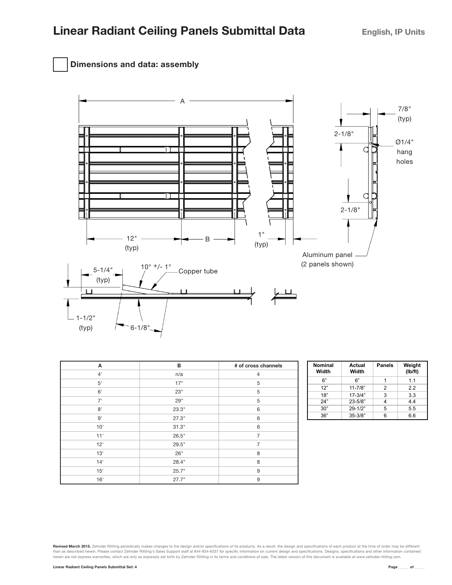



| Α    | B     | # of cross channels |
|------|-------|---------------------|
| 4'   | n/a   | $\overline{4}$      |
| $5'$ | 17"   | 5                   |
| 6'   | 23"   | 5                   |
| 7'   | 29"   | 5                   |
| 8'   | 23.3" | 6                   |
| 9'   | 27.3" | 6                   |
| 10'  | 31.3" | 6                   |
| 11'  | 26.5" | $\overline{7}$      |
| 12'  | 29.5" | $\overline{7}$      |
| 13'  | 26"   | 8                   |
| 14'  | 28.4" | 8                   |
| 15'  | 25.7" | 9                   |
| 16'  | 27.7" | 9                   |

| <b>Nominal</b><br>Width | Actual<br>Width | <b>Panels</b> | Weight<br>(Ib/ft) |  |
|-------------------------|-----------------|---------------|-------------------|--|
| 6"                      | 6"              | 1             | 1.1               |  |
| 12"                     | $11 - 7/8"$     | $\mathcal{P}$ | 22                |  |
| 18"                     | $17 - 3/4"$     | 3             | 3.3               |  |
| 24"                     | $23 - 5/8"$     | 4             | 4.4               |  |
| 30"                     | $29 - 1/2"$     | 5             | 5.5               |  |
| 36"                     | $35 - 3/8"$     | 6             | 6.6               |  |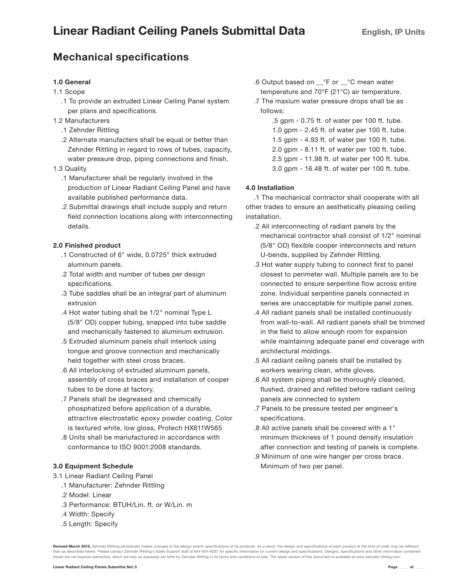# Mechanical specifications

### 1.0 General

#### 1.1 Scope

.1 To provide an extruded Linear Ceiling Panel system per plans and specifications.

#### 1.2 Manufacturers

- .1 Zehnder Rittling
- .2 Alternate manufacters shall be equal or better than Zehnder Rittling in regard to rows of tubes, capacity, water pressure drop, piping connections and finish.

#### 1.3 Quality

- .1 Manufacturer shall be regularly involved in the production of Linear Radiant Ceiling Panel and have available published performance data.
- .2 Submittal drawings shall include supply and return field connection locations along with interconnecting details.

### 2.0 Finished product

- .1 Constructed of 6" wide, 0.0725" thick extruded aluminum panels.
- .2 Total width and number of tubes per design specifications.
- .3 Tube saddles shall be an integral part of aluminum extrusion
- .4 Hot water tubing shall be 1/2" nominal Type L (5/8" OD) copper tubing, snapped into tube saddle and mechanically fastened to aluminum extrusion.
- .5 Extruded aluminum panels shall interlock using tongue and groove connection and mechanically held together with steel cross braces.
- .6 All interlocking of extruded aluminum panels, assembly of cross braces and installation of cooper tubes to be done at factory.
- .7 Panels shall be degreased and chemically phosphatized before application of a durable, attractive electrostatic epoxy powder coating. Color is textured white, low gloss, Protech HX611W565
- .8 Units shall be manufactured in accordance with conformance to ISO 9001:2008 standards.

#### 3.0 Equipment Schedule

- 3.1 Linear Radiant Ceiling Panel
	- .1 Manufacturer: Zehnder Rittling
	- .2 Model: Linear
	- .3 Performance: BTUH/Lin. ft. or W/Lin. m
	- .4 Width: Specify
	- .5 Length: Specify

### .6 Output based on \_\_°F or \_\_°C mean water

temperature and 70°F (21°C) air temperature.

.7 The maxium water pressure drops shall be as follows:

- .5 gpm 0.75 ft. of water per 100 ft. tube.
- 1.0 gpm 2.45 ft. of water per 100 ft. tube.
- 1.5 gpm 4.93 ft. of water per 100 ft. tube.
- 2.0 gpm 8.11 ft. of water per 100 ft. tube.
- 2.5 gpm 11.98 ft. of water per 100 ft. tube.
- 3.0 gpm 16.48 ft. of water per 100 ft. tube.

### 4.0 Installation

.1 The mechanical contractor shall cooperate with all other trades to ensure an aesthetically pleasing ceiling installation.

- .2 All interconnecting of radiant panels by the mechanical contractor shall consist of 1/2" nominal (5/8" OD) flexible cooper interconnects and return U-bends, supplied by Zehnder Rittling.
- .3 Hot water supply tubing to connect first to panel closest to perimeter wall. Multiple panels are to be connected to ensure serpentine flow across entire zone. Individual serpentine panels connected in series are unacceptable for multiple panel zones.
- .4 All radiant panels shall be installed continuously from wall-to-wall. All radiant panels shall be trimmed in the field to allow enough room for expansion while maintaining adequate panel end coverage with architectural moldings.
- .5 All radiant ceiling panels shall be installed by workers wearing clean, white gloves.
- .6 All system piping shall be thoroughly cleaned, flushed, drained and refilled before radiant ceiling panels are connected to system
- .7 Panels to be pressure tested per engineer's specifications.
- .8 All active panels shall be covered with a 1" minimum thickness of 1 pound density insulation after connection and testing of panels is complete.
- .9 Minimum of one wire hanger per cross brace. Minimum of two per panel.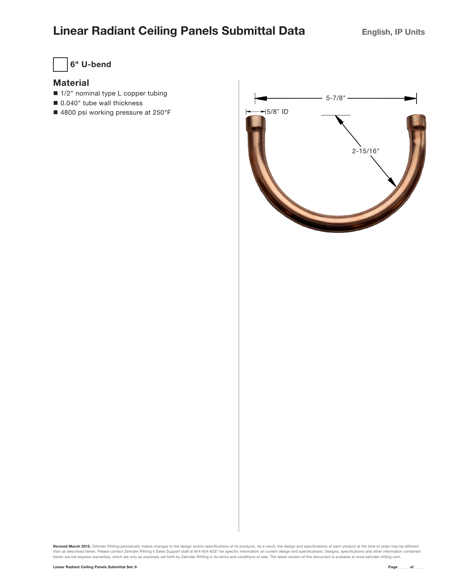

### **Material**

- 1/2" nominal type L copper tubing
- 0.040" tube wall thickness
- 4800 psi working pressure at 250°F

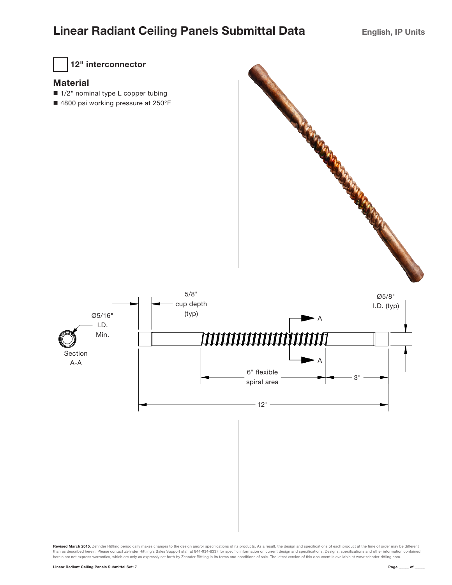

12" interconnector

### **Material**

- 1/2" nominal type L copper tubing
- 4800 psi working pressure at 250°F



Revised March 2015. Zehnder Rittling periodically makes changes to the design and/or specifications of its products. As a result, the design and specifications of each product at the time of order may be different than as described herein. Please contact Zehnder Rittling's Sales Support staff at 844-934-6337 for specific information on current design and specifications. Designs, specifications and other information contained<br>herein

A-A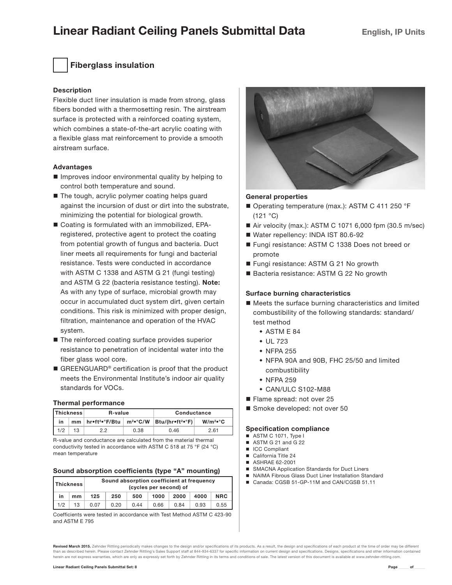# Fiberglass insulation

#### Description

Flexible duct liner insulation is made from strong, glass fibers bonded with a thermosetting resin. The airstream surface is protected with a reinforced coating system, which combines a state-of-the-art acrylic coating with a flexible glass mat reinforcement to provide a smooth airstream surface.

#### Advantages

- Improves indoor environmental quality by helping to control both temperature and sound.
- The tough, acrylic polymer coating helps guard against the incursion of dust or dirt into the substrate, minimizing the potential for biological growth.
- Coating is formulated with an immobilized, EPAregistered, protective agent to protect the coating from potential growth of fungus and bacteria. Duct liner meets all requirements for fungi and bacterial resistance. Tests were conducted in accordance with ASTM C 1338 and ASTM G 21 (fungi testing) and ASTM G 22 (bacteria resistance testing). Note: As with any type of surface, microbial growth may occur in accumulated duct system dirt, given certain conditions. This risk is minimized with proper design, filtration, maintenance and operation of the HVAC system.
- The reinforced coating surface provides superior resistance to penetration of incidental water into the fiber glass wool core.
- GREENGUARD<sup>®</sup> certification is proof that the product meets the Environmental Institute's indoor air quality standards for VOCs.

#### Thermal performance

| <b>Thickness</b> |    | R-value                                        |                                                   | Conductance                                                              |                                   |  |
|------------------|----|------------------------------------------------|---------------------------------------------------|--------------------------------------------------------------------------|-----------------------------------|--|
| in               |    | $mm \mid h_{\text{reft}}^2 \cdot \text{F/Btu}$ | $\mathsf{m}^2\bullet^\circ \mathsf{C}/\mathsf{W}$ | $  \text{Btu}/(\text{hr} \cdot \text{ft}^{2} \cdot ^{\circ} \text{F})  $ | W/m <sup>2</sup> • <sup>°</sup> C |  |
|                  | 13 |                                                | 0.38                                              | 0.46                                                                     | 2.61                              |  |

R-value and conductance are calculated from the material thermal conductivity tested in accordance with ASTM C 518 at 75 °F (24 °C) mean temperature

#### Sound absorption coefficients (type "A" mounting)

| <b>Thickness</b> ∤ |    | Sound absorption coefficient at frequency<br>(cycles per second) of |      |      |      |      |      |            |
|--------------------|----|---------------------------------------------------------------------|------|------|------|------|------|------------|
| in                 | mm | 125                                                                 | 250  | 500  | 1000 | 2000 | 4000 | <b>NRC</b> |
| 1/2                | 13 | 0.07                                                                | 0.20 | 0.44 | 0.66 | 0.84 | 0.93 | 0.55       |

Coefficients were tested in accordance with Test Method ASTM C 423-90 and ASTM E 795



#### General properties

- Operating temperature (max.): ASTM C 411 250 °F  $(121 °C)$
- Air velocity (max.): ASTM C 1071 6,000 fpm  $(30.5 \text{ m/sec})$
- Water repellency: INDA IST 80.6-92
- Fungi resistance: ASTM C 1338 Does not breed or promote
- Fungi resistance: ASTM G 21 No growth
- Bacteria resistance: ASTM G 22 No growth

### Surface burning characteristics

- Meets the surface burning characteristics and limited combustibility of the following standards: standard/ test method
	- ASTM E 84
	- UL 723
	- NFPA 255
	- NFPA 90A and 90B, FHC 25/50 and limited combustibility
	- NFPA 259
	- CAN/ULC S102-M88
- Flame spread: not over 25
- Smoke developed: not over 50

#### Specification compliance

- ASTM C 1071, Type I
- ASTM G 21 and G 22
- **ICC Compliant**
- California Title 24
- ASHRAE 62-2001
- SMACNA Application Standards for Duct Liners
- NAIMA Fibrous Glass Duct Liner Installation Standard
- Canada: CGSB 51-GP-11M and CAN/CGSB 51.11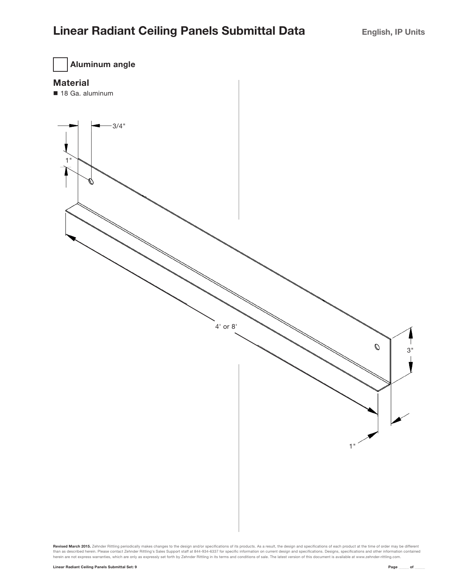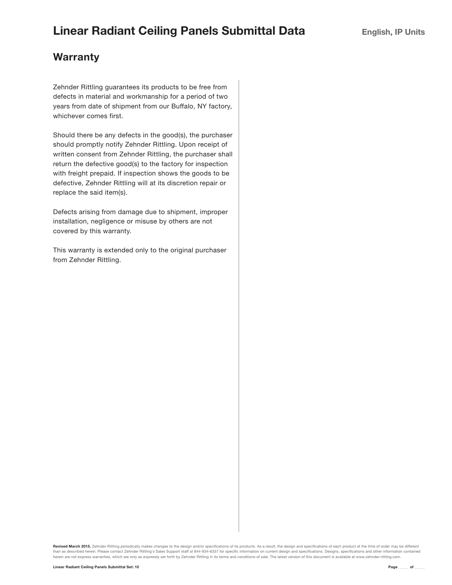# **Warranty**

Zehnder Rittling guarantees its products to be free from defects in material and workmanship for a period of two years from date of shipment from our Buffalo, NY factory, whichever comes first.

Should there be any defects in the good(s), the purchaser should promptly notify Zehnder Rittling. Upon receipt of written consent from Zehnder Rittling, the purchaser shall return the defective good(s) to the factory for inspection with freight prepaid. If inspection shows the goods to be defective, Zehnder Rittling will at its discretion repair or replace the said item(s).

Defects arising from damage due to shipment, improper installation, negligence or misuse by others are not covered by this warranty.

This warranty is extended only to the original purchaser from Zehnder Rittling.